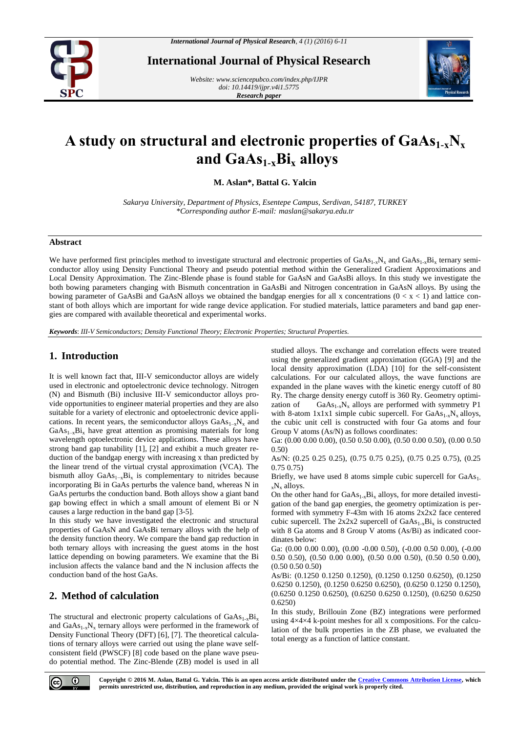

**International Journal of Physical Research**

*Website[: www.sciencepubco.com/index.php/IJPR](http://www.sciencepubco.com/index.php/IJPR) doi: 10.14419/ijpr.v4i1.5775 Research paper*



# **A study on structural and electronic properties of GaAs1-xN<sup>x</sup> and GaAs1-xBi<sup>x</sup> alloys**

**M. Aslan\*, Battal G. Yalcin**

*Sakarya University, Department of Physics, Esentepe Campus, Serdivan, 54187, TURKEY \*Corresponding author E-mail: maslan@sakarya.edu.tr*

### **Abstract**

We have performed first principles method to investigate structural and electronic properties of  $GaAs_{1-x}N_x$  and  $GaAs_{1-x}Bi_x$  ternary semiconductor alloy using Density Functional Theory and pseudo potential method within the Generalized Gradient Approximations and Local Density Approximation. The Zinc-Blende phase is found stable for GaAsN and GaAsBi alloys. In this study we investigate the both bowing parameters changing with Bismuth concentration in GaAsBi and Nitrogen concentration in GaAsN alloys. By using the bowing parameter of GaAsBi and GaAsN alloys we obtained the bandgap energies for all x concentrations  $(0 < x < 1)$  and lattice constant of both alloys which are important for wide range device application. For studied materials, lattice parameters and band gap energies are compared with available theoretical and experimental works.

*Keywords*: *III-V Semiconductors; Density Functional Theory; Electronic Properties; Structural Properties.*

## **1. Introduction**

It is well known fact that, III-V semiconductor alloys are widely used in electronic and optoelectronic device technology. Nitrogen (N) and Bismuth (Bi) inclusive III-V semiconductor alloys provide opportunities to engineer material properties and they are also suitable for a variety of electronic and optoelectronic device applications. In recent years, the semiconductor alloys  $GaAs_{1-x}N_x$  and  $GaAs_{1-x}Bi_x$  have great attention as promising materials for long wavelength optoelectronic device applications. These alloys have strong band gap tunability [1], [2] and exhibit a much greater reduction of the bandgap energy with increasing x than predicted by the linear trend of the virtual crystal approximation (VCA). The bismuth alloy  $GaAs_{1-x}Bi_x$  is complementary to nitrides because incorporating Bi in GaAs perturbs the valence band, whereas N in GaAs perturbs the conduction band. Both alloys show a giant band gap bowing effect in which a small amount of element Bi or N causes a large reduction in the band gap [3-5].

In this study we have investigated the electronic and structural properties of GaAsN and GaAsBi ternary alloys with the help of the density function theory. We compare the band gap reduction in both ternary alloys with increasing the guest atoms in the host lattice depending on bowing parameters. We examine that the Bi inclusion affects the valance band and the N inclusion affects the conduction band of the host GaAs.

## **2. Method of calculation**

The structural and electronic property calculations of  $GaAs_{1-x}Bi_x$ and  $GaAs_{1-x}N_x$  ternary alloys were performed in the framework of Density Functional Theory (DFT) [6], [7]. The theoretical calculations of ternary alloys were carried out using the plane wave selfconsistent field (PWSCF) [8] code based on the plane wave pseudo potential method. The Zinc-Blende (ZB) model is used in all

studied alloys. The exchange and correlation effects were treated using the generalized gradient approximation (GGA) [9] and the local density approximation (LDA) [10] for the self-consistent calculations. For our calculated alloys, the wave functions are expanded in the plane waves with the kinetic energy cutoff of 80 Ry. The charge density energy cutoff is 360 Ry. Geometry optimization of GaAs<sub>1-x</sub>N<sub>x</sub> alloys are performed with symmetry P1 with 8-atom 1x1x1 simple cubic supercell. For  $GaAs_{1-x}N_x$  alloys, the cubic unit cell is constructed with four Ga atoms and four Group V atoms (As/N) as follows coordinates:

Ga: (0.00 0.00 0.00), (0.50 0.50 0.00), (0.50 0.00 0.50), (0.00 0.50 0.50)

As/N: (0.25 0.25 0.25), (0.75 0.75 0.25), (0.75 0.25 0.75), (0.25 0.75 0.75)

Briefly, we have used 8 atoms simple cubic supercell for  $GaAs<sub>1</sub>$ . <sup>x</sup>N<sup>x</sup> alloys.

On the other hand for  $GaAs_{1-x}Bi_x$  alloys, for more detailed investigation of the band gap energies, the geometry optimization is performed with symmetry F-43m with 16 atoms 2x2x2 face centered cubic supercell. The  $2x2x2$  supercell of  $GaAs_{1-x}Bi_x$  is constructed with 8 Ga atoms and 8 Group V atoms (As/Bi) as indicated coordinates below:

Ga: (0.00 0.00 0.00), (0.00 -0.00 0.50), (-0.00 0.50 0.00), (-0.00 0.50 0.50), (0.50 0.00 0.00), (0.50 0.00 0.50), (0.50 0.50 0.00), (0.50 0.50 0.50)

As/Bi: (0.1250 0.1250 0.1250), (0.1250 0.1250 0.6250), (0.1250 0.6250 0.1250), (0.1250 0.6250 0.6250), (0.6250 0.1250 0.1250), (0.6250 0.1250 0.6250), (0.6250 0.6250 0.1250), (0.6250 0.6250 0.6250)

In this study, Brillouin Zone (BZ) integrations were performed using 4×4×4 k-point meshes for all x compositions. For the calculation of the bulk properties in the ZB phase, we evaluated the total energy as a function of lattice constant.



**Copyright © 2016 M. Aslan, Battal G. Yalcin. This is an open access article distributed under the [Creative Commons Attribution License,](http://creativecommons.org/licenses/by/3.0/) which permits unrestricted use, distribution, and reproduction in any medium, provided the original work is properly cited.**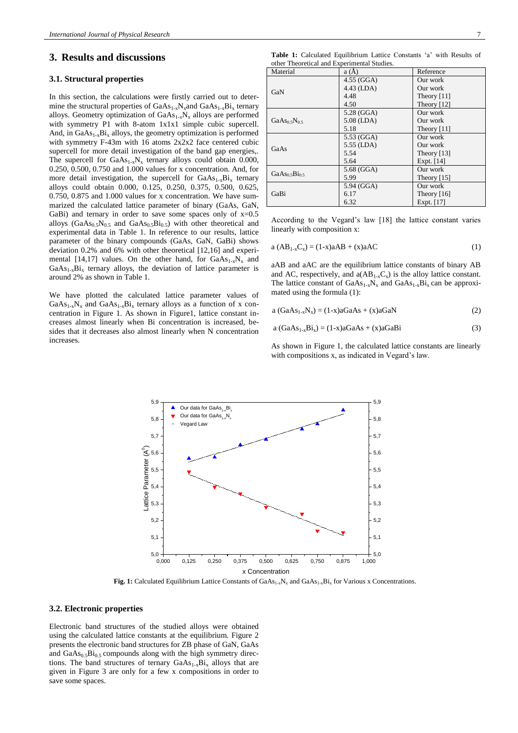#### **3. Results and discussions**

#### **3.1. Structural properties**

In this section, the calculations were firstly carried out to determine the structural properties of  $GaAs_{1-x}N_x$  and  $GaAs_{1-x}Bi_x$  ternary alloys. Geometry optimization of  $GaAs_{1-x}N_x$  alloys are performed with symmetry P1 with 8-atom 1x1x1 simple cubic supercell. And, in  $GaAs_{1-x}Bi_x$  alloys, the geometry optimization is performed with symmetry F-43m with 16 atoms 2x2x2 face centered cubic supercell for more detail investigation of the band gap energies,. The supercell for  $GaAs_{1-x}N_x$  ternary alloys could obtain 0.000, 0.250, 0.500, 0.750 and 1.000 values for x concentration. And, for more detail investigation, the supercell for  $GaAs_{1-x}Bi_x$  ternary alloys could obtain 0.000, 0.125, 0.250, 0.375, 0.500, 0.625, 0.750, 0.875 and 1.000 values for x concentration. We have summarized the calculated lattice parameter of binary (GaAs, GaN, GaBi) and ternary in order to save some spaces only of  $x=0.5$ alloys ( $GaAs<sub>0.5</sub>N<sub>0.5</sub>$  and  $GaAs<sub>0.5</sub>Bi<sub>0.5</sub>$ ) with other theoretical and experimental data in Table 1. In reference to our results, lattice parameter of the binary compounds (GaAs, GaN, GaBi) shows deviation 0.2% and 6% with other theoretical [12,16] and experimental [14,17] values. On the other hand, for  $GaAs_{1-x}N_x$  and  $GaAs<sub>1-x</sub>Bi<sub>x</sub>$  ternary alloys, the deviation of lattice parameter is around 2% as shown in Table 1.

We have plotted the calculated lattice parameter values of  $GaAs<sub>1-x</sub>N<sub>x</sub>$  and  $GaAs<sub>1-x</sub>Bi<sub>x</sub>$  ternary alloys as a function of x concentration in Figure 1. As shown in Figure1, lattice constant increases almost linearly when Bi concentration is increased, besides that it decreases also almost linearly when N concentration increases.

|  | <b>Table 1:</b> Calculated Equilibrium Lattice Constants 'a' with Results of |  |  |  |  |
|--|------------------------------------------------------------------------------|--|--|--|--|
|  | other Theoretical and Experimental Studies.                                  |  |  |  |  |

| Material                              | a(A)         | Reference                 |  |  |
|---------------------------------------|--------------|---------------------------|--|--|
|                                       | $4.55$ (GGA) | Our work                  |  |  |
| GaN                                   | 4.43 (LDA)   | Our work                  |  |  |
|                                       | 4.48         | Theory $[11]$             |  |  |
|                                       | 4.50         | Theory $[12]$             |  |  |
|                                       | 5.28 (GGA)   | Our work                  |  |  |
| $GaAs0$ sN <sub>0.5</sub>             | $5.08$ (LDA) | Our work                  |  |  |
|                                       | 5.18         | Theory $[11]$             |  |  |
|                                       | 5.53 (GGA)   | Our work                  |  |  |
| GaAs                                  | 5.55 (LDA)   | Our work                  |  |  |
|                                       | 5.54         | Theory $[13]$             |  |  |
|                                       | 5.64         | Expt. $[14]$              |  |  |
| GaAs <sub>0.5</sub> Bi <sub>0.5</sub> | 5.68 (GGA)   | Our work<br>Theory $[15]$ |  |  |
|                                       | 5.99         |                           |  |  |
|                                       | 5.94 (GGA)   | Our work                  |  |  |
| GaBi                                  | 6.17         | Theory $[16]$             |  |  |
|                                       | 6.32         | Expt. [17]                |  |  |

According to the Vegard's law [18] the lattice constant varies linearly with composition x:

$$
a (AB_{1-x}C_x) = (1-x)aAB + (x)aAC
$$
 (1)

aAB and aAC are the equilibrium lattice constants of binary AB and AC, respectively, and  $a(AB_{1-x}C_x)$  is the alloy lattice constant. The lattice constant of  $GaAs_{1-x}N_x$  and  $GaAs_{1-x}Bi_x$  can be approximated using the formula (1):

$$
a (GaAs1-xNx) = (1-x)aGaAs + (x)aGaN
$$
 (2)

$$
a (GaAs1-xBix) = (1-x)aGaAs + (x)aGaBi
$$
 (3)

As shown in Figure 1, the calculated lattice constants are linearly with compositions x, as indicated in Vegard's law.



**Fig. 1:** Calculated Equilibrium Lattice Constants of  $GaAs_{1x}N_x$  and  $GaAs_{1x}Bi_x$  for Various x Concentrations.

#### **3.2. Electronic properties**

Electronic band structures of the studied alloys were obtained using the calculated lattice constants at the equilibrium. Figure 2 presents the electronic band structures for ZB phase of GaN, GaAs and  $GaAs_{0.5}Bi_{0.5}$  compounds along with the high symmetry directions. The band structures of ternary  $GaAs_{1-x}Bi_x$  alloys that are given in Figure 3 are only for a few x compositions in order to save some spaces.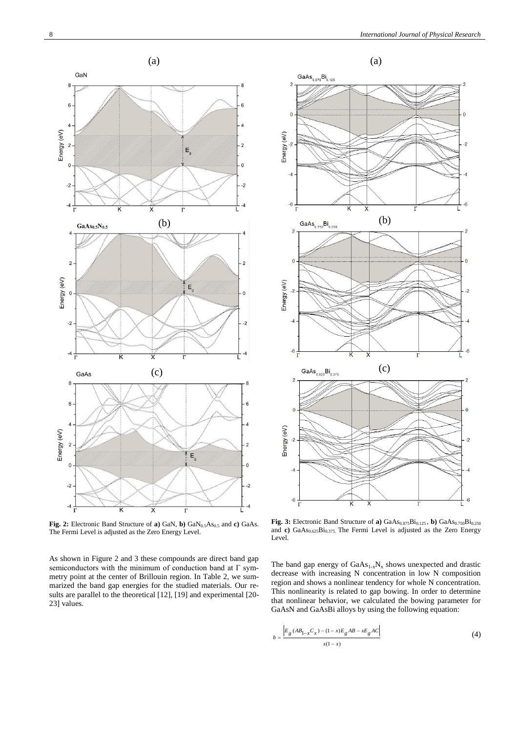

Fig. 2: Electronic Band Structure of **a**) GaN, **b**) GaN<sub>0.5</sub>As<sub>0.5</sub> and **c**) GaAs. The Fermi Level is adjusted as the Zero Energy Level.

As shown in Figure 2 and 3 these compounds are direct band gap semiconductors with the minimum of conduction band at Γ symmetry point at the center of Brillouin region. In Table 2, we summarized the band gap energies for the studied materials. Our results are parallel to the theoretical [12], [19] and experimental [20- 23] values.



Fig. 3: Electronic Band Structure of **a**)  $GaAs_{0.875}Bi_{0.125}$ , **b**)  $GaAs_{0.750}Bi_{0.250}$ and **c**)  $GaAs_{0.625}Bi_{0.375}$ . The Fermi Level is adjusted as the Zero Energy Level.

The band gap energy of  $GaAs_{1-x}N_x$  shows unexpected and drastic decrease with increasing N concentration in low N composition region and shows a nonlinear tendency for whole N concentration. This nonlinearity is related to gap bowing. In order to determine that nonlinear behavior, we calculated the bowing parameter for GaAsN and GaAsBi alloys by using the following equation:

$$
b = \frac{\left| E_g (AB_{1-x}C_x) - (1-x)E_g AB - xE_g AC \right|}{x(1-x)}
$$
(4)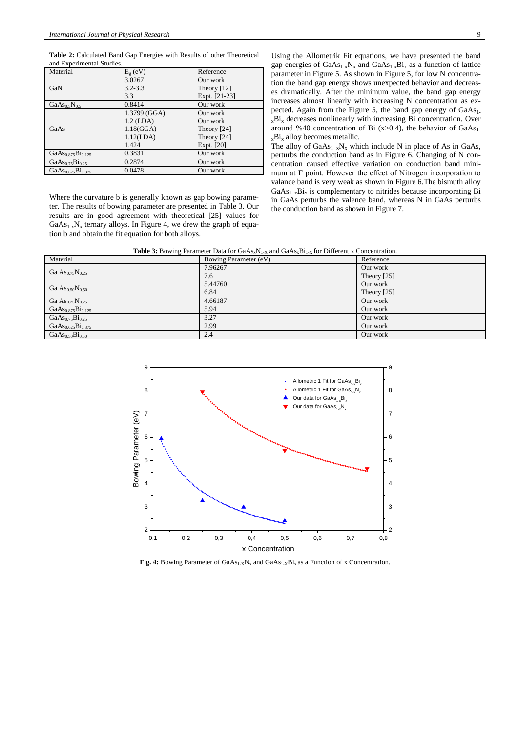**Table 2:** Calculated Band Gap Energies with Results of other Theoretical and Experimental Studies.

| Material                                | $E_g$ (eV)   | Reference     |
|-----------------------------------------|--------------|---------------|
|                                         | 3.0267       | Our work      |
| GaN                                     | $3.2 - 3.3$  | Theory $[12]$ |
|                                         | 3.3          | Expt. [21-23] |
| GaAs <sub>0.5</sub> N <sub>0.5</sub>    | 0.8414       | Our work      |
|                                         | 1.3799 (GGA) | Our work      |
|                                         | $1.2$ (LDA)  | Our work      |
| GaAs                                    | 1.18(GGA)    | Theory $[24]$ |
|                                         | 1.12(LDA)    | Theory [24]   |
|                                         | 1.424        | Expt. [20]    |
| $GaAs0.875Bi0.125$                      | 0.3831       | Our work      |
| GaAs <sub>0.75</sub> Bi <sub>0.25</sub> | 0.2874       | Our work      |
| $GaAs_{0.625}Bi_{0.375}$                | 0.0478       | Our work      |

Where the curvature b is generally known as gap bowing parameter. The results of bowing parameter are presented in Table 3. Our results are in good agreement with theoretical [25] values for  $GaAs<sub>1-x</sub>N<sub>x</sub>$  ternary alloys. In Figure 4, we drew the graph of equation b and obtain the fit equation for both alloys.

Using the Allometrik Fit equations, we have presented the band gap energies of  $GaAs_{1-x}N_x$  and  $GaAs_{1-x}Bi_x$  as a function of lattice parameter in Figure 5. As shown in Figure 5, for low N concentration the band gap energy shows unexpected behavior and decreases dramatically. After the minimum value, the band gap energy increases almost linearly with increasing N concentration as expected. Again from the Figure 5, the band gap energy of GaAs<sub>1-</sub>  $_{x}Bi_{x}$  decreases nonlinearly with increasing Bi concentration. Over around %40 concentration of Bi (x>0.4), the behavior of GaAs<sub>1-</sub>  $_{x}Bi_{x}$  alloy becomes metallic.

The alloy of  $GaAs_{1-x}N_x$  which include N in place of As in GaAs, perturbs the conduction band as in Figure 6. Changing of N concentration caused effective variation on conduction band minimum at Γ point. However the effect of Nitrogen incorporation to valance band is very weak as shown in Figure 6.The bismuth alloy Ga $As_{1-x}Bi_x$  is complementary to nitrides because incorporating Bi in GaAs perturbs the valence band, whereas N in GaAs perturbs the conduction band as shown in Figure 7.

Table 3: Bowing Parameter Data for GaAs<sub>x</sub>N<sub>1-X</sub> and GaAs<sub>x</sub>Bi<sub>1-X</sub> for Different x Concentration.

| Material                                | Bowing Parameter (eV) | Reference     |
|-----------------------------------------|-----------------------|---------------|
| Ga $As_{0.75}N_{0.25}$                  | 7.96267               | Our work      |
|                                         | 7.6                   | Theory $[25]$ |
|                                         | 5.44760               | Our work      |
| Ga $\rm As_{0.50}N_{0.50}$              | 6.84                  | Theory $[25]$ |
| Ga $\text{As}_{0.25}\text{N}_{0.75}$    | 4.66187               | Our work      |
| $GaAs0.875Bi0.125$                      | 5.94                  | Our work      |
| GaAs <sub>0.75</sub> Bi <sub>0.25</sub> | 3.27                  | Our work      |
| $GaAs_{0.625}Bi_{0.375}$                | 2.99                  | Our work      |
| $GaAs_{0.50}Bi_{0.50}$                  | 2.4                   | Our work      |



Fig. 4: Bowing Parameter of GaAs<sub>1-X</sub>N<sub>x</sub> and GaAs<sub>1-X</sub>Bi<sub>x</sub> as a Function of x Concentration.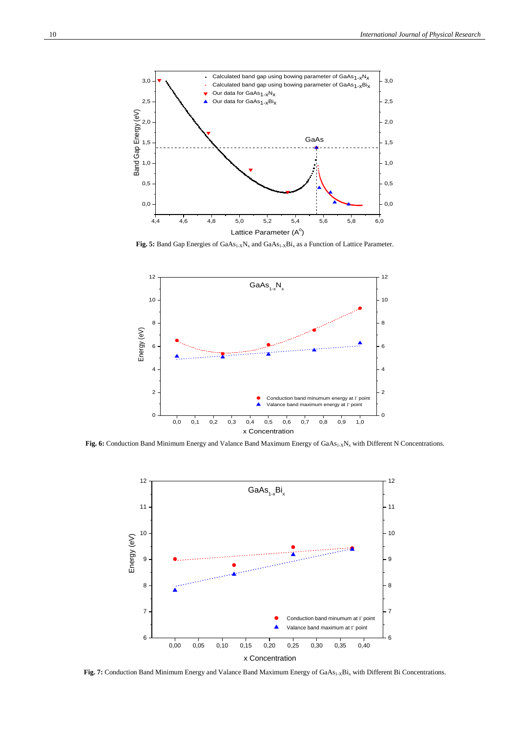

Fig. 5: Band Gap Energies of GaAs<sub>1-X</sub>N<sub>x</sub> and GaAs<sub>1-X</sub>Bi<sub>x</sub> as a Function of Lattice Parameter.



Fig. 6: Conduction Band Minimum Energy and Valance Band Maximum Energy of GaAs<sub>1-X</sub>N<sub>x</sub> with Different N Concentrations.



Fig. 7: Conduction Band Minimum Energy and Valance Band Maximum Energy of GaAs<sub>1-X</sub>Bi<sub>x</sub> with Different Bi Concentrations.